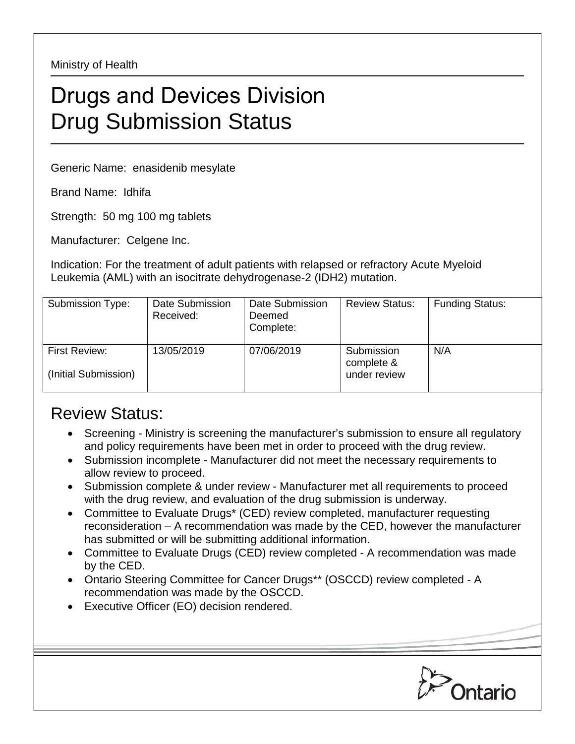Ministry of Health

## Drugs and Devices Division Drug Submission Status

Generic Name: enasidenib mesylate

Brand Name: Idhifa

Strength: 50 mg 100 mg tablets

Manufacturer: Celgene Inc.

Indication: For the treatment of adult patients with relapsed or refractory Acute Myeloid Leukemia (AML) with an isocitrate dehydrogenase-2 (IDH2) mutation.

| Submission Type:                      | Date Submission<br>Received: | Date Submission<br>Deemed<br>Complete: | <b>Review Status:</b>                    | <b>Funding Status:</b> |
|---------------------------------------|------------------------------|----------------------------------------|------------------------------------------|------------------------|
| First Review:<br>(Initial Submission) | 13/05/2019                   | 07/06/2019                             | Submission<br>complete &<br>under review | N/A                    |

## Review Status:

- Screening Ministry is screening the manufacturer's submission to ensure all regulatory and policy requirements have been met in order to proceed with the drug review.
- Submission incomplete Manufacturer did not meet the necessary requirements to allow review to proceed.
- Submission complete & under review Manufacturer met all requirements to proceed with the drug review, and evaluation of the drug submission is underway.
- Committee to Evaluate Drugs\* (CED) review completed, manufacturer requesting reconsideration – A recommendation was made by the CED, however the manufacturer has submitted or will be submitting additional information.
- Committee to Evaluate Drugs (CED) review completed A recommendation was made by the CED.
- Ontario Steering Committee for Cancer Drugs\*\* (OSCCD) review completed A recommendation was made by the OSCCD.
- Executive Officer (EO) decision rendered.